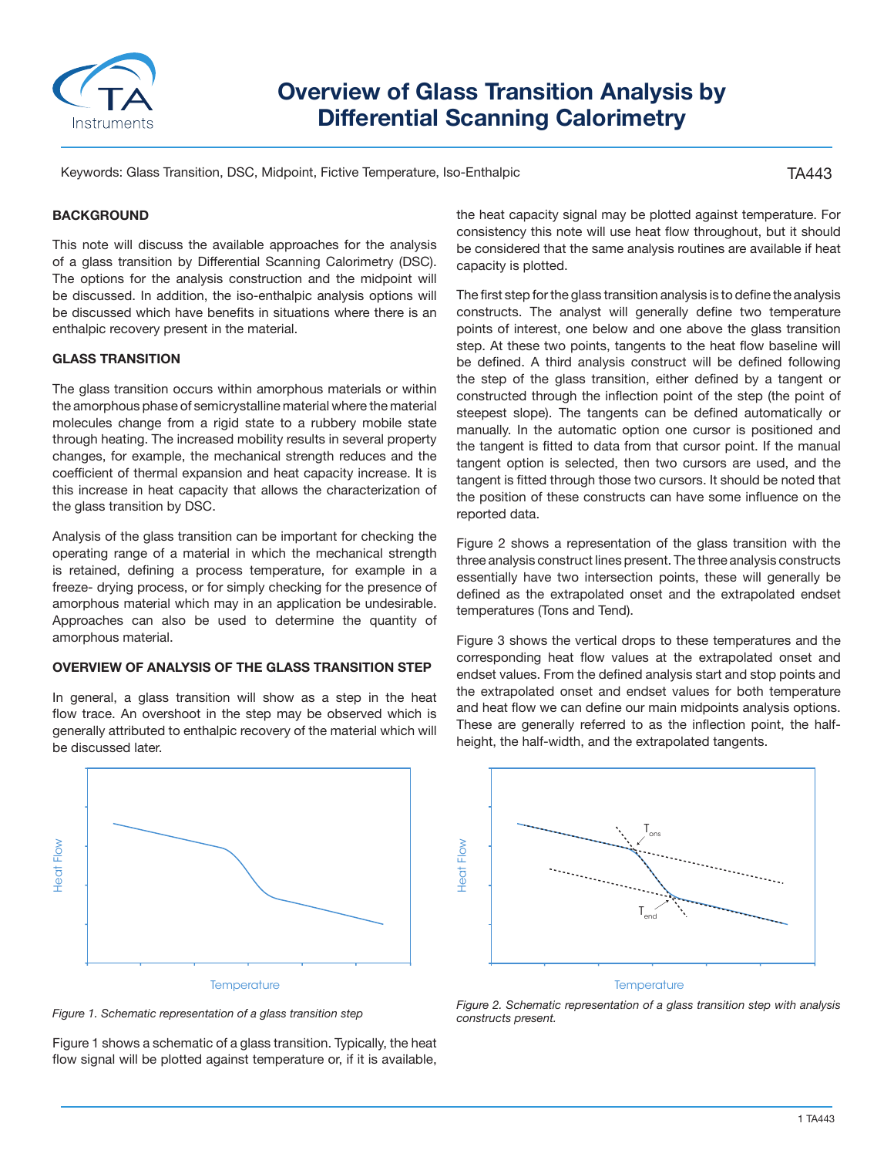

# **Overview of Glass Transition Analysis by Differential Scanning Calorimetry**

Keywords: Glass Transition, DSC, Midpoint, Fictive Temperature, Iso-Enthalpic

TA443

# **BACKGROUND**

This note will discuss the available approaches for the analysis of a glass transition by Differential Scanning Calorimetry (DSC). The options for the analysis construction and the midpoint will be discussed. In addition, the iso-enthalpic analysis options will be discussed which have benefits in situations where there is an enthalpic recovery present in the material.

#### **GLASS TRANSITION**

The glass transition occurs within amorphous materials or within the amorphous phase of semicrystalline material where the material molecules change from a rigid state to a rubbery mobile state through heating. The increased mobility results in several property changes, for example, the mechanical strength reduces and the coefficient of thermal expansion and heat capacity increase. It is this increase in heat capacity that allows the characterization of the glass transition by DSC.

Analysis of the glass transition can be important for checking the operating range of a material in which the mechanical strength is retained, defining a process temperature, for example in a freeze- drying process, or for simply checking for the presence of amorphous material which may in an application be undesirable. Approaches can also be used to determine the quantity of amorphous material.

# **OVERVIEW OF ANALYSIS OF THE GLASS TRANSITION STEP**

In general, a glass transition will show as a step in the heat flow trace. An overshoot in the step may be observed which is generally attributed to enthalpic recovery of the material which will be discussed later.



*Figure 1. Schematic representation of a glass transition step*

Figure 1 shows a schematic of a glass transition. Typically, the heat flow signal will be plotted against temperature or, if it is available,

the heat capacity signal may be plotted against temperature. For consistency this note will use heat flow throughout, but it should be considered that the same analysis routines are available if heat capacity is plotted.

The first step for the glass transition analysis is to define the analysis constructs. The analyst will generally define two temperature points of interest, one below and one above the glass transition step. At these two points, tangents to the heat flow baseline will be defined. A third analysis construct will be defined following the step of the glass transition, either defined by a tangent or constructed through the inflection point of the step (the point of steepest slope). The tangents can be defined automatically or manually. In the automatic option one cursor is positioned and the tangent is fitted to data from that cursor point. If the manual tangent option is selected, then two cursors are used, and the tangent is fitted through those two cursors. It should be noted that the position of these constructs can have some influence on the reported data.

Figure 2 shows a representation of the glass transition with the three analysis construct lines present. The three analysis constructs essentially have two intersection points, these will generally be defined as the extrapolated onset and the extrapolated endset temperatures (Tons and Tend).

Figure 3 shows the vertical drops to these temperatures and the corresponding heat flow values at the extrapolated onset and endset values. From the defined analysis start and stop points and the extrapolated onset and endset values for both temperature and heat flow we can define our main midpoints analysis options. These are generally referred to as the inflection point, the halfheight, the half-width, and the extrapolated tangents.



*Figure 2. Schematic representation of a glass transition step with analysis constructs present.*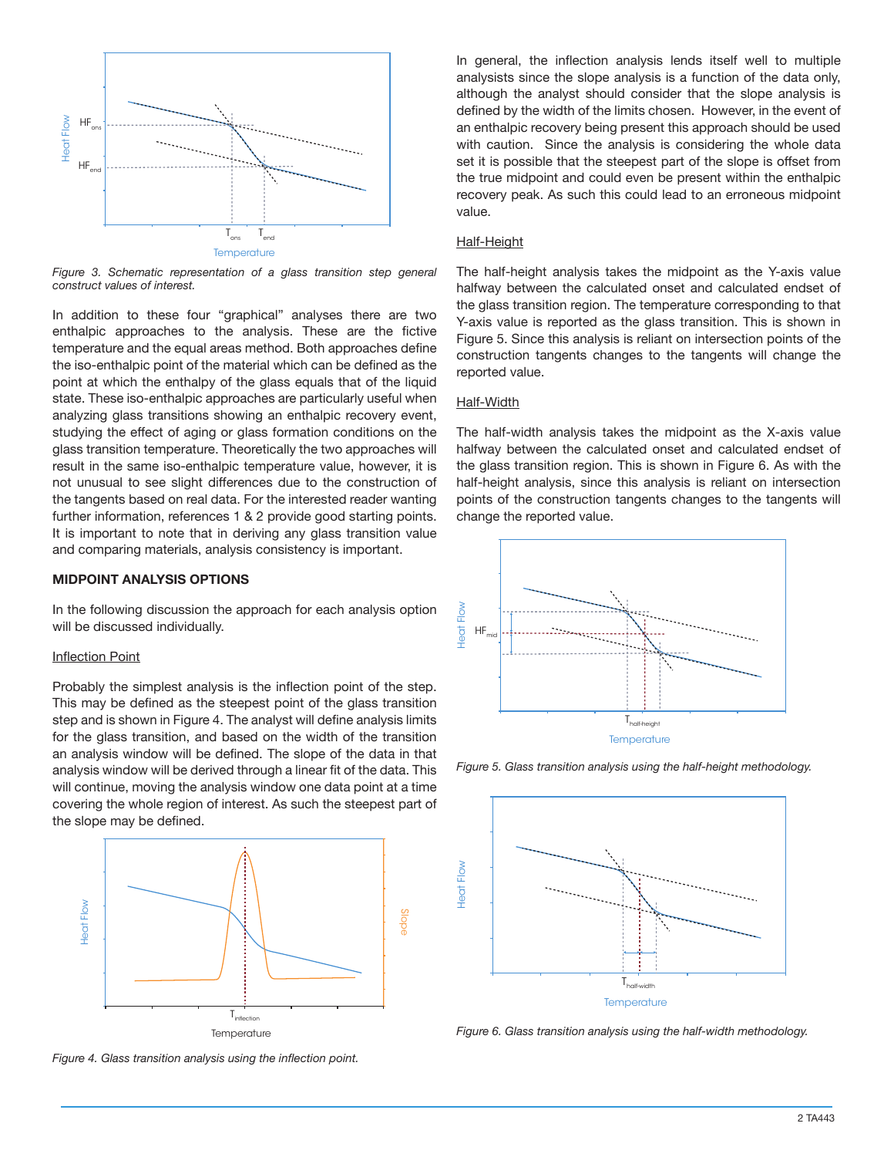

*Figure 3. Schematic representation of a glass transition step general construct values of interest.*

In addition to these four "graphical" analyses there are two enthalpic approaches to the analysis. These are the fictive temperature and the equal areas method. Both approaches define the iso-enthalpic point of the material which can be defined as the point at which the enthalpy of the glass equals that of the liquid state. These iso-enthalpic approaches are particularly useful when analyzing glass transitions showing an enthalpic recovery event, studying the effect of aging or glass formation conditions on the glass transition temperature. Theoretically the two approaches will result in the same iso-enthalpic temperature value, however, it is not unusual to see slight differences due to the construction of the tangents based on real data. For the interested reader wanting further information, references 1 & 2 provide good starting points. It is important to note that in deriving any glass transition value and comparing materials, analysis consistency is important.

## **MIDPOINT ANALYSIS OPTIONS**

In the following discussion the approach for each analysis option will be discussed individually.

#### Inflection Point

Probably the simplest analysis is the inflection point of the step. This may be defined as the steepest point of the glass transition step and is shown in Figure 4. The analyst will define analysis limits for the glass transition, and based on the width of the transition an analysis window will be defined. The slope of the data in that analysis window will be derived through a linear fit of the data. This will continue, moving the analysis window one data point at a time covering the whole region of interest. As such the steepest part of the slope may be defined.



*Figure 4. Glass transition analysis using the inflection point.*

In general, the inflection analysis lends itself well to multiple analysists since the slope analysis is a function of the data only, although the analyst should consider that the slope analysis is defined by the width of the limits chosen. However, in the event of an enthalpic recovery being present this approach should be used with caution. Since the analysis is considering the whole data set it is possible that the steepest part of the slope is offset from the true midpoint and could even be present within the enthalpic recovery peak. As such this could lead to an erroneous midpoint value.

# Half-Height

The half-height analysis takes the midpoint as the Y-axis value halfway between the calculated onset and calculated endset of the glass transition region. The temperature corresponding to that Y-axis value is reported as the glass transition. This is shown in Figure 5. Since this analysis is reliant on intersection points of the construction tangents changes to the tangents will change the reported value.

#### Half-Width

The half-width analysis takes the midpoint as the X-axis value halfway between the calculated onset and calculated endset of the glass transition region. This is shown in Figure 6. As with the half-height analysis, since this analysis is reliant on intersection points of the construction tangents changes to the tangents will change the reported value.



*Figure 5. Glass transition analysis using the half-height methodology.*



*Figure 6. Glass transition analysis using the half-width methodology.*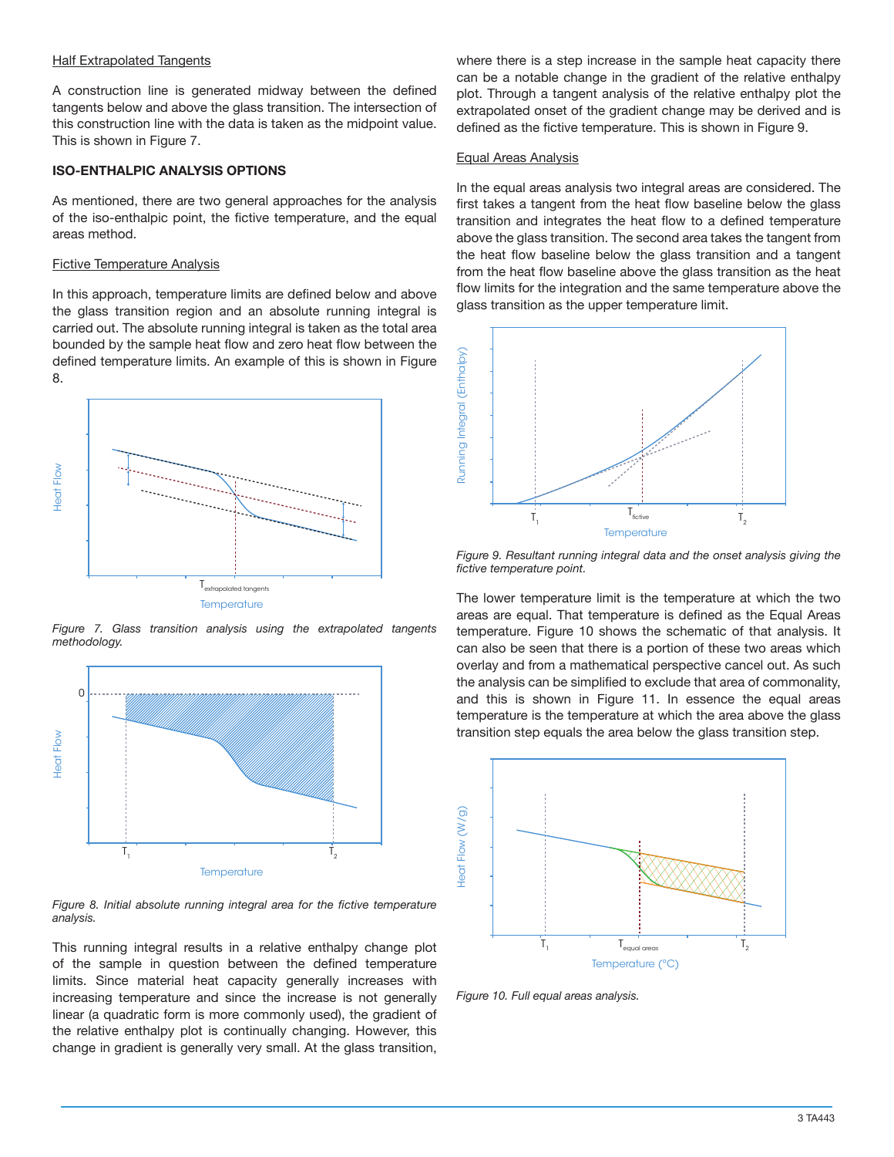#### Half Extrapolated Tangents

A construction line is generated midway between the defined tangents below and above the glass transition. The intersection of this construction line with the data is taken as the midpoint value. This is shown in Figure 7.

## **ISO-ENTHALPIC ANALYSIS OPTIONS**

As mentioned, there are two general approaches for the analysis of the iso-enthalpic point, the fictive temperature, and the equal areas method.

# Fictive Temperature Analysis

In this approach, temperature limits are defined below and above the glass transition region and an absolute running integral is carried out. The absolute running integral is taken as the total area bounded by the sample heat flow and zero heat flow between the defined temperature limits. An example of this is shown in Figure 8.



*Figure 7. Glass transition analysis using the extrapolated tangents methodology.*



*Figure 8. Initial absolute running integral area for the fictive temperature analysis.*

This running integral results in a relative enthalpy change plot of the sample in question between the defined temperature limits. Since material heat capacity generally increases with increasing temperature and since the increase is not generally linear (a quadratic form is more commonly used), the gradient of the relative enthalpy plot is continually changing. However, this change in gradient is generally very small. At the glass transition,

where there is a step increase in the sample heat capacity there can be a notable change in the gradient of the relative enthalpy plot. Through a tangent analysis of the relative enthalpy plot the extrapolated onset of the gradient change may be derived and is defined as the fictive temperature. This is shown in Figure 9.

#### Equal Areas Analysis

In the equal areas analysis two integral areas are considered. The first takes a tangent from the heat flow baseline below the glass transition and integrates the heat flow to a defined temperature above the glass transition. The second area takes the tangent from the heat flow baseline below the glass transition and a tangent from the heat flow baseline above the glass transition as the heat flow limits for the integration and the same temperature above the glass transition as the upper temperature limit.



*Figure 9. Resultant running integral data and the onset analysis giving the fictive temperature point.*

The lower temperature limit is the temperature at which the two areas are equal. That temperature is defined as the Equal Areas temperature. Figure 10 shows the schematic of that analysis. It can also be seen that there is a portion of these two areas which overlay and from a mathematical perspective cancel out. As such the analysis can be simplified to exclude that area of commonality, and this is shown in Figure 11. In essence the equal areas temperature is the temperature at which the area above the glass transition step equals the area below the glass transition step.



*Figure 10. Full equal areas analysis.*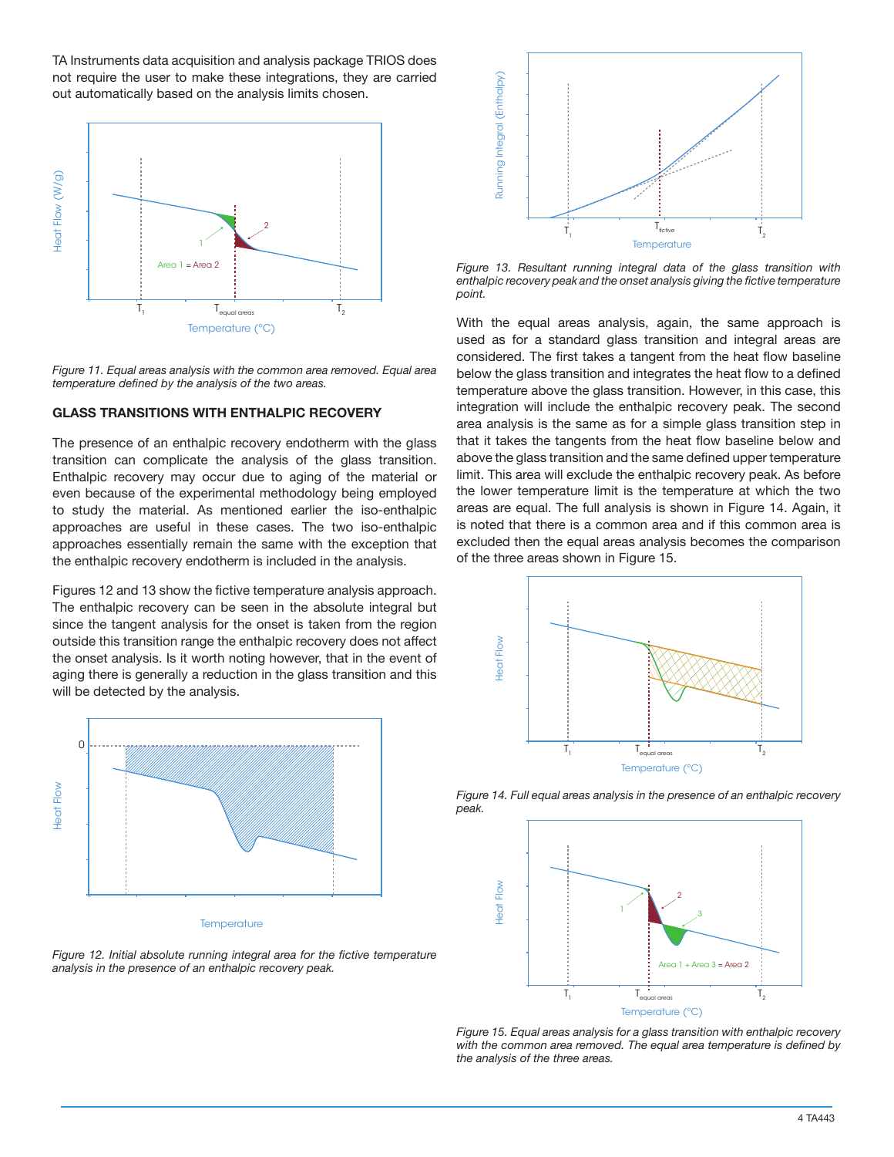TA Instruments data acquisition and analysis package TRIOS does not require the user to make these integrations, they are carried out automatically based on the analysis limits chosen.



*Figure 11. Equal areas analysis with the common area removed. Equal area temperature defined by the analysis of the two areas.*

#### **GLASS TRANSITIONS WITH ENTHALPIC RECOVERY**

The presence of an enthalpic recovery endotherm with the glass transition can complicate the analysis of the glass transition. Enthalpic recovery may occur due to aging of the material or even because of the experimental methodology being employed to study the material. As mentioned earlier the iso-enthalpic approaches are useful in these cases. The two iso-enthalpic approaches essentially remain the same with the exception that the enthalpic recovery endotherm is included in the analysis.

Figures 12 and 13 show the fictive temperature analysis approach. The enthalpic recovery can be seen in the absolute integral but since the tangent analysis for the onset is taken from the region outside this transition range the enthalpic recovery does not affect the onset analysis. Is it worth noting however, that in the event of aging there is generally a reduction in the glass transition and this will be detected by the analysis.



**Temperature** 

Figure 12. Initial absolute running integral area for the fictive temperature *analysis in the presence of an enthalpic recovery peak.*



*Figure 13. Resultant running integral data of the glass transition with enthalpic recovery peak and the onset analysis giving the fictive temperature point.*

With the equal areas analysis, again, the same approach is used as for a standard glass transition and integral areas are considered. The first takes a tangent from the heat flow baseline below the glass transition and integrates the heat flow to a defined temperature above the glass transition. However, in this case, this integration will include the enthalpic recovery peak. The second area analysis is the same as for a simple glass transition step in that it takes the tangents from the heat flow baseline below and above the glass transition and the same defined upper temperature limit. This area will exclude the enthalpic recovery peak. As before the lower temperature limit is the temperature at which the two areas are equal. The full analysis is shown in Figure 14. Again, it is noted that there is a common area and if this common area is excluded then the equal areas analysis becomes the comparison of the three areas shown in Figure 15.





*Figure 14. Full equal areas analysis in the presence of an enthalpic recovery peak.*

*Figure 15. Equal areas analysis for a glass transition with enthalpic recovery with the common area removed. The equal area temperature is defined by the analysis of the three areas.*